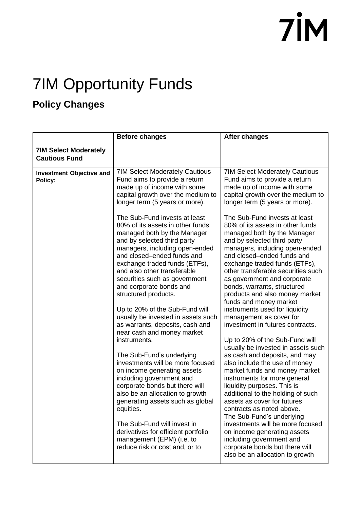#### 7IM Opportunity Funds

#### **Policy Changes**

|                                                      | <b>Before changes</b>                                                                                                                                                                                                                                                                                                                             | <b>After changes</b>                                                                                                                                                                                                                                                                                                                                                                                                              |
|------------------------------------------------------|---------------------------------------------------------------------------------------------------------------------------------------------------------------------------------------------------------------------------------------------------------------------------------------------------------------------------------------------------|-----------------------------------------------------------------------------------------------------------------------------------------------------------------------------------------------------------------------------------------------------------------------------------------------------------------------------------------------------------------------------------------------------------------------------------|
| <b>7IM Select Moderately</b><br><b>Cautious Fund</b> |                                                                                                                                                                                                                                                                                                                                                   |                                                                                                                                                                                                                                                                                                                                                                                                                                   |
| <b>Investment Objective and</b><br>Policy:           | <b>7IM Select Moderately Cautious</b><br>Fund aims to provide a return<br>made up of income with some<br>capital growth over the medium to<br>longer term (5 years or more).<br>The Sub-Fund invests at least<br>80% of its assets in other funds                                                                                                 | <b>7IM Select Moderately Cautious</b><br>Fund aims to provide a return<br>made up of income with some<br>capital growth over the medium to<br>longer term (5 years or more).<br>The Sub-Fund invests at least<br>80% of its assets in other funds                                                                                                                                                                                 |
|                                                      | managed both by the Manager<br>and by selected third party<br>managers, including open-ended<br>and closed-ended funds and<br>exchange traded funds (ETFs),<br>and also other transferable<br>securities such as government<br>and corporate bonds and<br>structured products.                                                                    | managed both by the Manager<br>and by selected third party<br>managers, including open-ended<br>and closed-ended funds and<br>exchange traded funds (ETFs),<br>other transferable securities such<br>as government and corporate<br>bonds, warrants, structured<br>products and also money market<br>funds and money market                                                                                                       |
|                                                      | Up to 20% of the Sub-Fund will<br>usually be invested in assets such<br>as warrants, deposits, cash and<br>near cash and money market<br>instruments.                                                                                                                                                                                             | instruments used for liquidity<br>management as cover for<br>investment in futures contracts.<br>Up to 20% of the Sub-Fund will                                                                                                                                                                                                                                                                                                   |
|                                                      | The Sub-Fund's underlying<br>investments will be more focused<br>on income generating assets<br>including government and<br>corporate bonds but there will<br>also be an allocation to growth<br>generating assets such as global<br>equities.<br>The Sub-Fund will invest in<br>derivatives for efficient portfolio<br>management (EPM) (i.e. to | usually be invested in assets such<br>as cash and deposits, and may<br>also include the use of money<br>market funds and money market<br>instruments for more general<br>liquidity purposes. This is<br>additional to the holding of such<br>assets as cover for futures<br>contracts as noted above.<br>The Sub-Fund's underlying<br>investments will be more focused<br>on income generating assets<br>including government and |
|                                                      | reduce risk or cost and, or to                                                                                                                                                                                                                                                                                                                    | corporate bonds but there will<br>also be an allocation to growth                                                                                                                                                                                                                                                                                                                                                                 |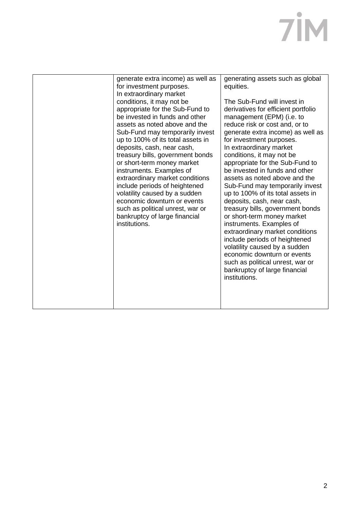| generate extra income) as well as<br>for investment purposes.<br>In extraordinary market<br>conditions, it may not be<br>appropriate for the Sub-Fund to<br>be invested in funds and other<br>assets as noted above and the<br>Sub-Fund may temporarily invest<br>up to 100% of its total assets in<br>deposits, cash, near cash,<br>treasury bills, government bonds<br>or short-term money market<br>instruments. Examples of<br>extraordinary market conditions<br>include periods of heightened<br>volatility caused by a sudden<br>economic downturn or events<br>such as political unrest, war or<br>bankruptcy of large financial<br>institutions. | generating assets such as global<br>equities.<br>The Sub-Fund will invest in<br>derivatives for efficient portfolio<br>management (EPM) (i.e. to<br>reduce risk or cost and, or to<br>generate extra income) as well as<br>for investment purposes.<br>In extraordinary market<br>conditions, it may not be<br>appropriate for the Sub-Fund to<br>be invested in funds and other<br>assets as noted above and the<br>Sub-Fund may temporarily invest<br>up to 100% of its total assets in<br>deposits, cash, near cash,<br>treasury bills, government bonds<br>or short-term money market<br>instruments. Examples of<br>extraordinary market conditions<br>include periods of heightened<br>volatility caused by a sudden<br>economic downturn or events<br>such as political unrest, war or<br>bankruptcy of large financial<br>institutions. |
|-----------------------------------------------------------------------------------------------------------------------------------------------------------------------------------------------------------------------------------------------------------------------------------------------------------------------------------------------------------------------------------------------------------------------------------------------------------------------------------------------------------------------------------------------------------------------------------------------------------------------------------------------------------|-------------------------------------------------------------------------------------------------------------------------------------------------------------------------------------------------------------------------------------------------------------------------------------------------------------------------------------------------------------------------------------------------------------------------------------------------------------------------------------------------------------------------------------------------------------------------------------------------------------------------------------------------------------------------------------------------------------------------------------------------------------------------------------------------------------------------------------------------|
|                                                                                                                                                                                                                                                                                                                                                                                                                                                                                                                                                                                                                                                           |                                                                                                                                                                                                                                                                                                                                                                                                                                                                                                                                                                                                                                                                                                                                                                                                                                                 |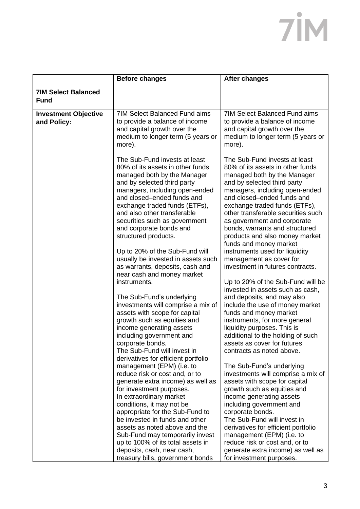|                                            | <b>Before changes</b>                                                                                                                                                                                                                                                                                                                                                                                                                                                                                                                                                                                                                                                                                                                                                                                                                                            | <b>After changes</b>                                                                                                                                                                                                                                                                                                                                                                                                                                                                                                                                                                                                                                                                                                                                                                                                                                                                                         |
|--------------------------------------------|------------------------------------------------------------------------------------------------------------------------------------------------------------------------------------------------------------------------------------------------------------------------------------------------------------------------------------------------------------------------------------------------------------------------------------------------------------------------------------------------------------------------------------------------------------------------------------------------------------------------------------------------------------------------------------------------------------------------------------------------------------------------------------------------------------------------------------------------------------------|--------------------------------------------------------------------------------------------------------------------------------------------------------------------------------------------------------------------------------------------------------------------------------------------------------------------------------------------------------------------------------------------------------------------------------------------------------------------------------------------------------------------------------------------------------------------------------------------------------------------------------------------------------------------------------------------------------------------------------------------------------------------------------------------------------------------------------------------------------------------------------------------------------------|
| <b>7IM Select Balanced</b><br><b>Fund</b>  |                                                                                                                                                                                                                                                                                                                                                                                                                                                                                                                                                                                                                                                                                                                                                                                                                                                                  |                                                                                                                                                                                                                                                                                                                                                                                                                                                                                                                                                                                                                                                                                                                                                                                                                                                                                                              |
| <b>Investment Objective</b><br>and Policy: | <b>7IM Select Balanced Fund aims</b><br>to provide a balance of income<br>and capital growth over the<br>medium to longer term (5 years or<br>more).                                                                                                                                                                                                                                                                                                                                                                                                                                                                                                                                                                                                                                                                                                             | <b>7IM Select Balanced Fund aims</b><br>to provide a balance of income<br>and capital growth over the<br>medium to longer term (5 years or<br>more).                                                                                                                                                                                                                                                                                                                                                                                                                                                                                                                                                                                                                                                                                                                                                         |
|                                            | The Sub-Fund invests at least<br>80% of its assets in other funds<br>managed both by the Manager<br>and by selected third party<br>managers, including open-ended<br>and closed-ended funds and<br>exchange traded funds (ETFs),<br>and also other transferable<br>securities such as government<br>and corporate bonds and<br>structured products.<br>Up to 20% of the Sub-Fund will<br>usually be invested in assets such<br>as warrants, deposits, cash and<br>near cash and money market<br>instruments.<br>The Sub-Fund's underlying<br>investments will comprise a mix of<br>assets with scope for capital<br>growth such as equities and<br>income generating assets<br>including government and<br>corporate bonds.<br>The Sub-Fund will invest in<br>derivatives for efficient portfolio<br>management (EPM) (i.e. to<br>reduce risk or cost and, or to | The Sub-Fund invests at least<br>80% of its assets in other funds<br>managed both by the Manager<br>and by selected third party<br>managers, including open-ended<br>and closed-ended funds and<br>exchange traded funds (ETFs),<br>other transferable securities such<br>as government and corporate<br>bonds, warrants and structured<br>products and also money market<br>funds and money market<br>instruments used for liquidity<br>management as cover for<br>investment in futures contracts.<br>Up to 20% of the Sub-Fund will be<br>invested in assets such as cash,<br>and deposits, and may also<br>include the use of money market<br>funds and money market<br>instruments, for more general<br>liquidity purposes. This is<br>additional to the holding of such<br>assets as cover for futures<br>contracts as noted above.<br>The Sub-Fund's underlying<br>investments will comprise a mix of |
|                                            | generate extra income) as well as<br>for investment purposes.<br>In extraordinary market<br>conditions, it may not be                                                                                                                                                                                                                                                                                                                                                                                                                                                                                                                                                                                                                                                                                                                                            | assets with scope for capital<br>growth such as equities and<br>income generating assets<br>including government and                                                                                                                                                                                                                                                                                                                                                                                                                                                                                                                                                                                                                                                                                                                                                                                         |
|                                            | appropriate for the Sub-Fund to<br>be invested in funds and other<br>assets as noted above and the<br>Sub-Fund may temporarily invest<br>up to 100% of its total assets in<br>deposits, cash, near cash,<br>treasury bills, government bonds                                                                                                                                                                                                                                                                                                                                                                                                                                                                                                                                                                                                                     | corporate bonds.<br>The Sub-Fund will invest in<br>derivatives for efficient portfolio<br>management (EPM) (i.e. to<br>reduce risk or cost and, or to<br>generate extra income) as well as<br>for investment purposes.                                                                                                                                                                                                                                                                                                                                                                                                                                                                                                                                                                                                                                                                                       |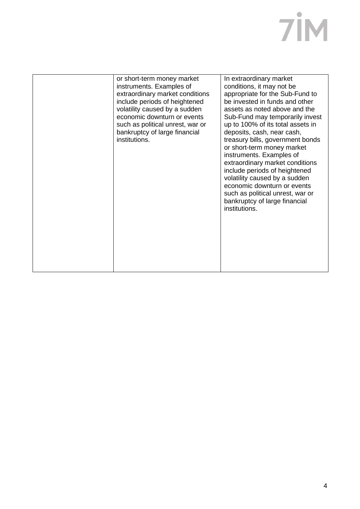| In extraordinary market<br>or short-term money market<br>instruments. Examples of<br>conditions, it may not be<br>appropriate for the Sub-Fund to<br>extraordinary market conditions<br>be invested in funds and other<br>include periods of heightened<br>volatility caused by a sudden<br>assets as noted above and the<br>economic downturn or events<br>Sub-Fund may temporarily invest<br>up to 100% of its total assets in<br>such as political unrest, war or<br>bankruptcy of large financial<br>deposits, cash, near cash,<br>institutions.<br>treasury bills, government bonds<br>or short-term money market<br>instruments. Examples of<br>extraordinary market conditions<br>include periods of heightened<br>volatility caused by a sudden<br>economic downturn or events<br>such as political unrest, war or<br>bankruptcy of large financial<br>institutions. |  |  |
|------------------------------------------------------------------------------------------------------------------------------------------------------------------------------------------------------------------------------------------------------------------------------------------------------------------------------------------------------------------------------------------------------------------------------------------------------------------------------------------------------------------------------------------------------------------------------------------------------------------------------------------------------------------------------------------------------------------------------------------------------------------------------------------------------------------------------------------------------------------------------|--|--|
|                                                                                                                                                                                                                                                                                                                                                                                                                                                                                                                                                                                                                                                                                                                                                                                                                                                                              |  |  |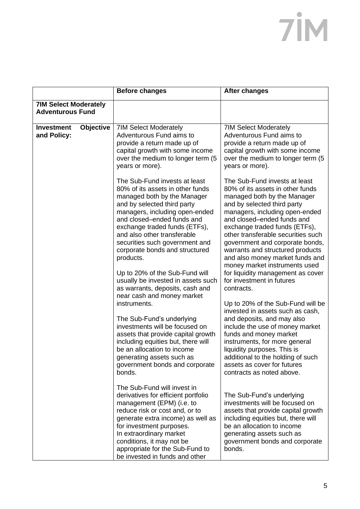| <b>7IM Select Moderately</b><br><b>Adventurous Fund</b><br><b>Objective</b><br><b>Investment</b><br><b>7IM Select Moderately</b><br><b>7IM Select Moderately</b><br>and Policy:<br>Adventurous Fund aims to<br>Adventurous Fund aims to<br>provide a return made up of<br>provide a return made up of<br>capital growth with some income<br>capital growth with some income<br>over the medium to longer term (5<br>over the medium to longer term (5<br>years or more).<br>years or more).<br>The Sub-Fund invests at least<br>The Sub-Fund invests at least<br>80% of its assets in other funds<br>80% of its assets in other funds<br>managed both by the Manager<br>managed both by the Manager<br>and by selected third party<br>and by selected third party<br>managers, including open-ended<br>managers, including open-ended<br>and closed-ended funds and<br>and closed-ended funds and<br>exchange traded funds (ETFs),<br>exchange traded funds (ETFs),<br>and also other transferable<br>other transferable securities such<br>securities such government and<br>government and corporate bonds,<br>corporate bonds and structured<br>warrants and structured products<br>and also money market funds and<br>products.<br>money market instruments used<br>for liquidity management as cover<br>Up to 20% of the Sub-Fund will<br>for investment in futures<br>usually be invested in assets such<br>as warrants, deposits, cash and<br>contracts.<br>near cash and money market<br>instruments.<br>Up to 20% of the Sub-Fund will be<br>invested in assets such as cash,<br>The Sub-Fund's underlying<br>and deposits, and may also<br>investments will be focused on<br>include the use of money market<br>funds and money market<br>assets that provide capital growth<br>including equities but, there will<br>instruments, for more general<br>be an allocation to income<br>liquidity purposes. This is<br>additional to the holding of such<br>generating assets such as<br>government bonds and corporate<br>assets as cover for futures<br>bonds.<br>contracts as noted above.<br>The Sub-Fund will invest in<br>derivatives for efficient portfolio<br>The Sub-Fund's underlying | <b>Before changes</b>     | <b>After changes</b>           |
|---------------------------------------------------------------------------------------------------------------------------------------------------------------------------------------------------------------------------------------------------------------------------------------------------------------------------------------------------------------------------------------------------------------------------------------------------------------------------------------------------------------------------------------------------------------------------------------------------------------------------------------------------------------------------------------------------------------------------------------------------------------------------------------------------------------------------------------------------------------------------------------------------------------------------------------------------------------------------------------------------------------------------------------------------------------------------------------------------------------------------------------------------------------------------------------------------------------------------------------------------------------------------------------------------------------------------------------------------------------------------------------------------------------------------------------------------------------------------------------------------------------------------------------------------------------------------------------------------------------------------------------------------------------------------------------------------------------------------------------------------------------------------------------------------------------------------------------------------------------------------------------------------------------------------------------------------------------------------------------------------------------------------------------------------------------------------------------------------------------------------------------------------------------------------------------------------------|---------------------------|--------------------------------|
|                                                                                                                                                                                                                                                                                                                                                                                                                                                                                                                                                                                                                                                                                                                                                                                                                                                                                                                                                                                                                                                                                                                                                                                                                                                                                                                                                                                                                                                                                                                                                                                                                                                                                                                                                                                                                                                                                                                                                                                                                                                                                                                                                                                                         |                           |                                |
| reduce risk or cost and, or to<br>assets that provide capital growth<br>generate extra income) as well as<br>including equities but, there will<br>be an allocation to income<br>for investment purposes.<br>In extraordinary market<br>generating assets such as<br>conditions, it may not be<br>government bonds and corporate<br>appropriate for the Sub-Fund to<br>bonds.                                                                                                                                                                                                                                                                                                                                                                                                                                                                                                                                                                                                                                                                                                                                                                                                                                                                                                                                                                                                                                                                                                                                                                                                                                                                                                                                                                                                                                                                                                                                                                                                                                                                                                                                                                                                                           | management (EPM) (i.e. to | investments will be focused on |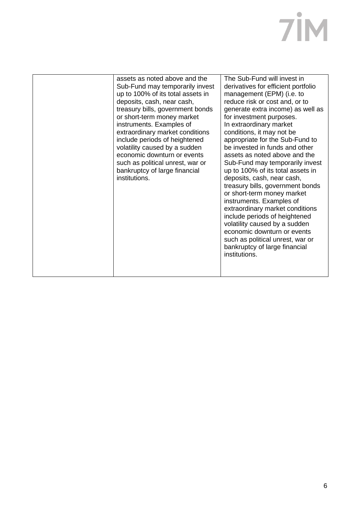| assets as noted above and the<br>Sub-Fund may temporarily invest<br>up to 100% of its total assets in<br>deposits, cash, near cash,<br>treasury bills, government bonds<br>or short-term money market<br>instruments. Examples of<br>extraordinary market conditions<br>include periods of heightened<br>volatility caused by a sudden<br>economic downturn or events<br>such as political unrest, war or<br>bankruptcy of large financial<br>institutions. | The Sub-Fund will invest in<br>derivatives for efficient portfolio<br>management (EPM) (i.e. to<br>reduce risk or cost and, or to<br>generate extra income) as well as<br>for investment purposes.<br>In extraordinary market<br>conditions, it may not be<br>appropriate for the Sub-Fund to<br>be invested in funds and other<br>assets as noted above and the<br>Sub-Fund may temporarily invest<br>up to 100% of its total assets in<br>deposits, cash, near cash,<br>treasury bills, government bonds<br>or short-term money market<br>instruments. Examples of<br>extraordinary market conditions<br>include periods of heightened<br>volatility caused by a sudden<br>economic downturn or events<br>such as political unrest, war or<br>bankruptcy of large financial<br>institutions. |
|-------------------------------------------------------------------------------------------------------------------------------------------------------------------------------------------------------------------------------------------------------------------------------------------------------------------------------------------------------------------------------------------------------------------------------------------------------------|------------------------------------------------------------------------------------------------------------------------------------------------------------------------------------------------------------------------------------------------------------------------------------------------------------------------------------------------------------------------------------------------------------------------------------------------------------------------------------------------------------------------------------------------------------------------------------------------------------------------------------------------------------------------------------------------------------------------------------------------------------------------------------------------|
|                                                                                                                                                                                                                                                                                                                                                                                                                                                             |                                                                                                                                                                                                                                                                                                                                                                                                                                                                                                                                                                                                                                                                                                                                                                                                |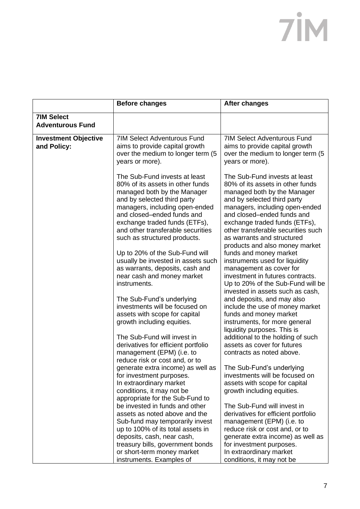|                                              | <b>Before changes</b>                                                                                                                                                                                                                                                                                                                                                                                                                                                                                                                                                                                                                                              | <b>After changes</b>                                                                                                                                                                                                                                                                                                                                                                                                                                                                                                                                                                                                                                                                                                                                                      |
|----------------------------------------------|--------------------------------------------------------------------------------------------------------------------------------------------------------------------------------------------------------------------------------------------------------------------------------------------------------------------------------------------------------------------------------------------------------------------------------------------------------------------------------------------------------------------------------------------------------------------------------------------------------------------------------------------------------------------|---------------------------------------------------------------------------------------------------------------------------------------------------------------------------------------------------------------------------------------------------------------------------------------------------------------------------------------------------------------------------------------------------------------------------------------------------------------------------------------------------------------------------------------------------------------------------------------------------------------------------------------------------------------------------------------------------------------------------------------------------------------------------|
| <b>7IM Select</b><br><b>Adventurous Fund</b> |                                                                                                                                                                                                                                                                                                                                                                                                                                                                                                                                                                                                                                                                    |                                                                                                                                                                                                                                                                                                                                                                                                                                                                                                                                                                                                                                                                                                                                                                           |
| <b>Investment Objective</b><br>and Policy:   | <b>7IM Select Adventurous Fund</b><br>aims to provide capital growth<br>over the medium to longer term (5<br>years or more).                                                                                                                                                                                                                                                                                                                                                                                                                                                                                                                                       | <b>7IM Select Adventurous Fund</b><br>aims to provide capital growth<br>over the medium to longer term (5<br>years or more).                                                                                                                                                                                                                                                                                                                                                                                                                                                                                                                                                                                                                                              |
|                                              | The Sub-Fund invests at least<br>80% of its assets in other funds<br>managed both by the Manager<br>and by selected third party<br>managers, including open-ended<br>and closed-ended funds and<br>exchange traded funds (ETFs),<br>and other transferable securities<br>such as structured products.<br>Up to 20% of the Sub-Fund will<br>usually be invested in assets such<br>as warrants, deposits, cash and<br>near cash and money market<br>instruments.<br>The Sub-Fund's underlying<br>investments will be focused on<br>assets with scope for capital<br>growth including equities.<br>The Sub-Fund will invest in<br>derivatives for efficient portfolio | The Sub-Fund invests at least<br>80% of its assets in other funds<br>managed both by the Manager<br>and by selected third party<br>managers, including open-ended<br>and closed-ended funds and<br>exchange traded funds (ETFs),<br>other transferable securities such<br>as warrants and structured<br>products and also money market<br>funds and money market<br>instruments used for liquidity<br>management as cover for<br>investment in futures contracts.<br>Up to 20% of the Sub-Fund will be<br>invested in assets such as cash,<br>and deposits, and may also<br>include the use of money market<br>funds and money market<br>instruments, for more general<br>liquidity purposes. This is<br>additional to the holding of such<br>assets as cover for futures |
|                                              | management (EPM) (i.e. to<br>reduce risk or cost and, or to<br>generate extra income) as well as                                                                                                                                                                                                                                                                                                                                                                                                                                                                                                                                                                   | contracts as noted above.<br>The Sub-Fund's underlying                                                                                                                                                                                                                                                                                                                                                                                                                                                                                                                                                                                                                                                                                                                    |
|                                              | for investment purposes.<br>In extraordinary market<br>conditions, it may not be<br>appropriate for the Sub-Fund to                                                                                                                                                                                                                                                                                                                                                                                                                                                                                                                                                | investments will be focused on<br>assets with scope for capital<br>growth including equities.                                                                                                                                                                                                                                                                                                                                                                                                                                                                                                                                                                                                                                                                             |
|                                              | be invested in funds and other<br>assets as noted above and the<br>Sub-fund may temporarily invest<br>up to 100% of its total assets in                                                                                                                                                                                                                                                                                                                                                                                                                                                                                                                            | The Sub-Fund will invest in<br>derivatives for efficient portfolio<br>management (EPM) (i.e. to<br>reduce risk or cost and, or to                                                                                                                                                                                                                                                                                                                                                                                                                                                                                                                                                                                                                                         |
|                                              | deposits, cash, near cash,<br>treasury bills, government bonds<br>or short-term money market<br>instruments. Examples of                                                                                                                                                                                                                                                                                                                                                                                                                                                                                                                                           | generate extra income) as well as<br>for investment purposes.<br>In extraordinary market<br>conditions, it may not be                                                                                                                                                                                                                                                                                                                                                                                                                                                                                                                                                                                                                                                     |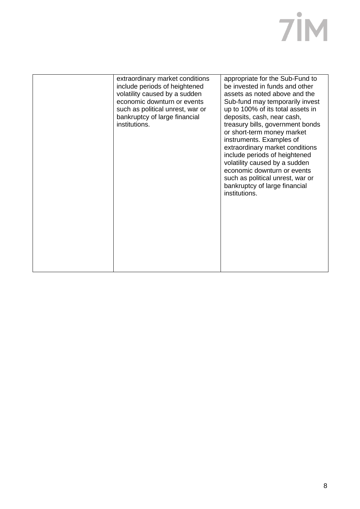| appropriate for the Sub-Fund to<br>extraordinary market conditions<br>include periods of heightened<br>be invested in funds and other<br>volatility caused by a sudden<br>assets as noted above and the<br>economic downturn or events<br>Sub-fund may temporarily invest<br>up to 100% of its total assets in<br>such as political unrest, war or<br>bankruptcy of large financial<br>deposits, cash, near cash,<br>institutions.<br>treasury bills, government bonds<br>or short-term money market<br>instruments. Examples of<br>extraordinary market conditions<br>include periods of heightened<br>volatility caused by a sudden<br>economic downturn or events<br>such as political unrest, war or<br>bankruptcy of large financial<br>institutions. |  |
|------------------------------------------------------------------------------------------------------------------------------------------------------------------------------------------------------------------------------------------------------------------------------------------------------------------------------------------------------------------------------------------------------------------------------------------------------------------------------------------------------------------------------------------------------------------------------------------------------------------------------------------------------------------------------------------------------------------------------------------------------------|--|
|                                                                                                                                                                                                                                                                                                                                                                                                                                                                                                                                                                                                                                                                                                                                                            |  |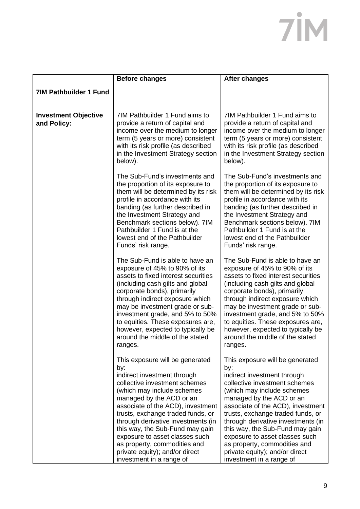|                                            | <b>Before changes</b>                                                                                                                                                                                                                                                                                                                                                                                                                               | <b>After changes</b>                                                                                                                                                                                                                                                                                                                                                                                                                                |
|--------------------------------------------|-----------------------------------------------------------------------------------------------------------------------------------------------------------------------------------------------------------------------------------------------------------------------------------------------------------------------------------------------------------------------------------------------------------------------------------------------------|-----------------------------------------------------------------------------------------------------------------------------------------------------------------------------------------------------------------------------------------------------------------------------------------------------------------------------------------------------------------------------------------------------------------------------------------------------|
| <b>7IM Pathbuilder 1 Fund</b>              |                                                                                                                                                                                                                                                                                                                                                                                                                                                     |                                                                                                                                                                                                                                                                                                                                                                                                                                                     |
| <b>Investment Objective</b><br>and Policy: | 7IM Pathbuilder 1 Fund aims to<br>provide a return of capital and<br>income over the medium to longer<br>term (5 years or more) consistent<br>with its risk profile (as described<br>in the Investment Strategy section<br>below).                                                                                                                                                                                                                  | 7IM Pathbuilder 1 Fund aims to<br>provide a return of capital and<br>income over the medium to longer<br>term (5 years or more) consistent<br>with its risk profile (as described<br>in the Investment Strategy section<br>below).                                                                                                                                                                                                                  |
|                                            | The Sub-Fund's investments and<br>the proportion of its exposure to<br>them will be determined by its risk<br>profile in accordance with its<br>banding (as further described in<br>the Investment Strategy and<br>Benchmark sections below). 7IM<br>Pathbuilder 1 Fund is at the<br>lowest end of the Pathbuilder<br>Funds' risk range.                                                                                                            | The Sub-Fund's investments and<br>the proportion of its exposure to<br>them will be determined by its risk<br>profile in accordance with its<br>banding (as further described in<br>the Investment Strategy and<br>Benchmark sections below). 7IM<br>Pathbuilder 1 Fund is at the<br>lowest end of the Pathbuilder<br>Funds' risk range.                                                                                                            |
|                                            | The Sub-Fund is able to have an<br>exposure of 45% to 90% of its<br>assets to fixed interest securities<br>(including cash gilts and global<br>corporate bonds), primarily<br>through indirect exposure which<br>may be investment grade or sub-<br>investment grade, and 5% to 50%<br>to equities. These exposures are,<br>however, expected to typically be<br>around the middle of the stated<br>ranges.                                         | The Sub-Fund is able to have an<br>exposure of 45% to 90% of its<br>assets to fixed interest securities<br>(including cash gilts and global<br>corporate bonds), primarily<br>through indirect exposure which<br>may be investment grade or sub-<br>investment grade, and 5% to 50%<br>to equities. These exposures are,<br>however, expected to typically be<br>around the middle of the stated<br>ranges.                                         |
|                                            | This exposure will be generated<br>by:<br>indirect investment through<br>collective investment schemes<br>(which may include schemes<br>managed by the ACD or an<br>associate of the ACD), investment<br>trusts, exchange traded funds, or<br>through derivative investments (in<br>this way, the Sub-Fund may gain<br>exposure to asset classes such<br>as property, commodities and<br>private equity); and/or direct<br>investment in a range of | This exposure will be generated<br>by:<br>indirect investment through<br>collective investment schemes<br>(which may include schemes<br>managed by the ACD or an<br>associate of the ACD), investment<br>trusts, exchange traded funds, or<br>through derivative investments (in<br>this way, the Sub-Fund may gain<br>exposure to asset classes such<br>as property, commodities and<br>private equity); and/or direct<br>investment in a range of |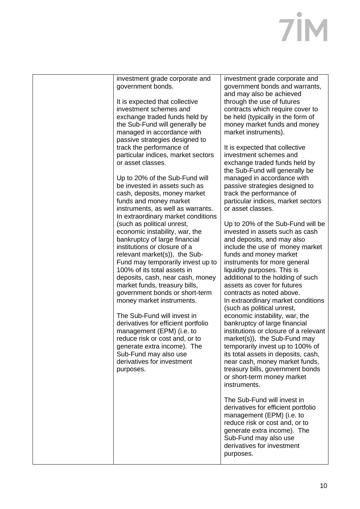| investment grade corporate and                              | investment grade corporate and                          |
|-------------------------------------------------------------|---------------------------------------------------------|
| government bonds.                                           | government bonds and warrants,                          |
|                                                             | and may also be achieved                                |
| It is expected that collective                              | through the use of futures                              |
| investment schemes and                                      | contracts which require cover to                        |
| exchange traded funds held by                               | be held (typically in the form of                       |
| the Sub-Fund will generally be                              | money market funds and money                            |
| managed in accordance with                                  | market instruments).                                    |
| passive strategies designed to                              |                                                         |
| track the performance of                                    | It is expected that collective                          |
| particular indices, market sectors                          | investment schemes and                                  |
| or asset classes.                                           | exchange traded funds held by                           |
|                                                             | the Sub-Fund will generally be                          |
| Up to 20% of the Sub-Fund will                              | managed in accordance with                              |
| be invested in assets such as                               | passive strategies designed to                          |
| cash, deposits, money market                                | track the performance of                                |
| funds and money market<br>instruments, as well as warrants. | particular indices, market sectors<br>or asset classes. |
| In extraordinary market conditions                          |                                                         |
| (such as political unrest,                                  | Up to 20% of the Sub-Fund will be                       |
| economic instability, war, the                              | invested in assets such as cash                         |
| bankruptcy of large financial                               | and deposits, and may also                              |
| institutions or closure of a                                | include the use of money market                         |
| relevant market(s)), the Sub-                               | funds and money market                                  |
| Fund may temporarily invest up to                           | instruments for more general                            |
| 100% of its total assets in                                 | liquidity purposes. This is                             |
| deposits, cash, near cash, money                            | additional to the holding of such                       |
| market funds, treasury bills,                               | assets as cover for futures                             |
| government bonds or short-term                              | contracts as noted above.                               |
| money market instruments.                                   | In extraordinary market conditions                      |
|                                                             | (such as political unrest,                              |
| The Sub-Fund will invest in                                 | economic instability, war, the                          |
| derivatives for efficient portfolio                         | bankruptcy of large financial                           |
| management (EPM) (i.e. to                                   | institutions or closure of a relevant                   |
| reduce risk or cost and, or to                              | market(s)), the Sub-Fund may                            |
| generate extra income). The                                 | temporarily invest up to 100% of                        |
| Sub-Fund may also use                                       | its total assets in deposits, cash,                     |
| derivatives for investment                                  | near cash, money market funds,                          |
| purposes.                                                   | treasury bills, government bonds                        |
|                                                             | or short-term money market                              |
|                                                             | instruments.                                            |
|                                                             |                                                         |
|                                                             | The Sub-Fund will invest in                             |
|                                                             | derivatives for efficient portfolio                     |
|                                                             | management (EPM) (i.e. to                               |
|                                                             | reduce risk or cost and, or to                          |
|                                                             | generate extra income). The                             |
|                                                             | Sub-Fund may also use<br>derivatives for investment     |
|                                                             |                                                         |
|                                                             | purposes.                                               |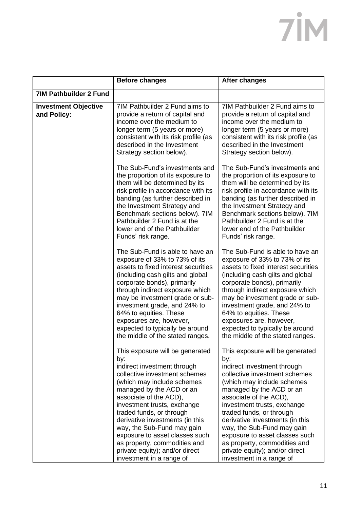|                                            | <b>Before changes</b>                                                                                                                                                                                                                                                                                                                                                                                                                                  | <b>After changes</b>                                                                                                                                                                                                                                                                                                                                                                                                                                   |
|--------------------------------------------|--------------------------------------------------------------------------------------------------------------------------------------------------------------------------------------------------------------------------------------------------------------------------------------------------------------------------------------------------------------------------------------------------------------------------------------------------------|--------------------------------------------------------------------------------------------------------------------------------------------------------------------------------------------------------------------------------------------------------------------------------------------------------------------------------------------------------------------------------------------------------------------------------------------------------|
| <b>7IM Pathbuilder 2 Fund</b>              |                                                                                                                                                                                                                                                                                                                                                                                                                                                        |                                                                                                                                                                                                                                                                                                                                                                                                                                                        |
| <b>Investment Objective</b><br>and Policy: | 7IM Pathbuilder 2 Fund aims to<br>provide a return of capital and<br>income over the medium to<br>longer term (5 years or more)<br>consistent with its risk profile (as<br>described in the Investment<br>Strategy section below).                                                                                                                                                                                                                     | 7IM Pathbuilder 2 Fund aims to<br>provide a return of capital and<br>income over the medium to<br>longer term (5 years or more)<br>consistent with its risk profile (as<br>described in the Investment<br>Strategy section below).                                                                                                                                                                                                                     |
|                                            | The Sub-Fund's investments and<br>the proportion of its exposure to<br>them will be determined by its<br>risk profile in accordance with its<br>banding (as further described in<br>the Investment Strategy and<br>Benchmark sections below). 7IM<br>Pathbuilder 2 Fund is at the<br>lower end of the Pathbuilder<br>Funds' risk range.                                                                                                                | The Sub-Fund's investments and<br>the proportion of its exposure to<br>them will be determined by its<br>risk profile in accordance with its<br>banding (as further described in<br>the Investment Strategy and<br>Benchmark sections below). 7IM<br>Pathbuilder 2 Fund is at the<br>lower end of the Pathbuilder<br>Funds' risk range.                                                                                                                |
|                                            | The Sub-Fund is able to have an<br>exposure of 33% to 73% of its<br>assets to fixed interest securities<br>(including cash gilts and global<br>corporate bonds), primarily<br>through indirect exposure which<br>may be investment grade or sub-<br>investment grade, and 24% to<br>64% to equities. These<br>exposures are, however,<br>expected to typically be around<br>the middle of the stated ranges.                                           | The Sub-Fund is able to have an<br>exposure of 33% to 73% of its<br>assets to fixed interest securities<br>(including cash gilts and global<br>corporate bonds), primarily<br>through indirect exposure which<br>may be investment grade or sub-<br>investment grade, and 24% to<br>64% to equities. These<br>exposures are, however,<br>expected to typically be around<br>the middle of the stated ranges.                                           |
|                                            | This exposure will be generated<br>by:<br>indirect investment through<br>collective investment schemes<br>(which may include schemes<br>managed by the ACD or an<br>associate of the ACD),<br>investment trusts, exchange<br>traded funds, or through<br>derivative investments (in this<br>way, the Sub-Fund may gain<br>exposure to asset classes such<br>as property, commodities and<br>private equity); and/or direct<br>investment in a range of | This exposure will be generated<br>by:<br>indirect investment through<br>collective investment schemes<br>(which may include schemes<br>managed by the ACD or an<br>associate of the ACD),<br>investment trusts, exchange<br>traded funds, or through<br>derivative investments (in this<br>way, the Sub-Fund may gain<br>exposure to asset classes such<br>as property, commodities and<br>private equity); and/or direct<br>investment in a range of |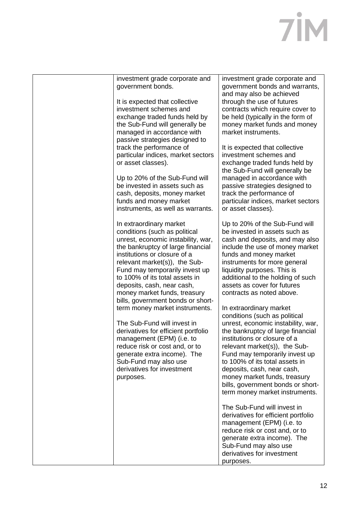| investment grade corporate and<br>government bonds.                                                                                                                                                                                                                                                                                                                                                           | investment grade corporate and<br>government bonds and warrants,<br>and may also be achieved                                                                                                                                                                                                                                                                                       |
|---------------------------------------------------------------------------------------------------------------------------------------------------------------------------------------------------------------------------------------------------------------------------------------------------------------------------------------------------------------------------------------------------------------|------------------------------------------------------------------------------------------------------------------------------------------------------------------------------------------------------------------------------------------------------------------------------------------------------------------------------------------------------------------------------------|
| It is expected that collective<br>investment schemes and<br>exchange traded funds held by<br>the Sub-Fund will generally be<br>managed in accordance with<br>passive strategies designed to<br>track the performance of                                                                                                                                                                                       | through the use of futures<br>contracts which require cover to<br>be held (typically in the form of<br>money market funds and money<br>market instruments.<br>It is expected that collective                                                                                                                                                                                       |
| particular indices, market sectors<br>or asset classes).                                                                                                                                                                                                                                                                                                                                                      | investment schemes and<br>exchange traded funds held by<br>the Sub-Fund will generally be                                                                                                                                                                                                                                                                                          |
| Up to 20% of the Sub-Fund will<br>be invested in assets such as<br>cash, deposits, money market<br>funds and money market<br>instruments, as well as warrants.                                                                                                                                                                                                                                                | managed in accordance with<br>passive strategies designed to<br>track the performance of<br>particular indices, market sectors<br>or asset classes).                                                                                                                                                                                                                               |
| In extraordinary market<br>conditions (such as political<br>unrest, economic instability, war,<br>the bankruptcy of large financial<br>institutions or closure of a<br>relevant market(s)), the Sub-<br>Fund may temporarily invest up<br>to 100% of its total assets in<br>deposits, cash, near cash,<br>money market funds, treasury<br>bills, government bonds or short-<br>term money market instruments. | Up to 20% of the Sub-Fund will<br>be invested in assets such as<br>cash and deposits, and may also<br>include the use of money market<br>funds and money market<br>instruments for more general<br>liquidity purposes. This is<br>additional to the holding of such<br>assets as cover for futures<br>contracts as noted above.<br>In extraordinary market                         |
| The Sub-Fund will invest in<br>derivatives for efficient portfolio<br>management (EPM) (i.e. to<br>reduce risk or cost and, or to<br>generate extra income). The<br>Sub-Fund may also use<br>derivatives for investment<br>purposes.                                                                                                                                                                          | conditions (such as political<br>unrest, economic instability, war,<br>the bankruptcy of large financial<br>institutions or closure of a<br>relevant market(s)), the Sub-<br>Fund may temporarily invest up<br>to 100% of its total assets in<br>deposits, cash, near cash,<br>money market funds, treasury<br>bills, government bonds or short-<br>term money market instruments. |
|                                                                                                                                                                                                                                                                                                                                                                                                               | The Sub-Fund will invest in<br>derivatives for efficient portfolio<br>management (EPM) (i.e. to<br>reduce risk or cost and, or to<br>generate extra income). The<br>Sub-Fund may also use<br>derivatives for investment<br>purposes.                                                                                                                                               |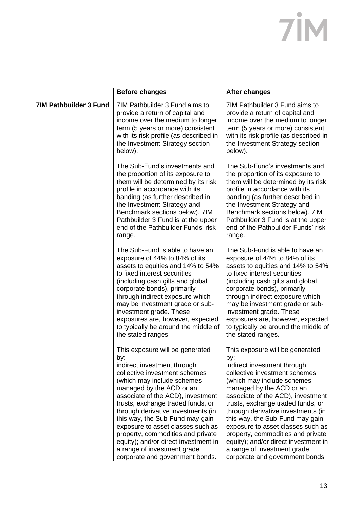|                               | <b>Before changes</b>                                                                                                                                                                                                                                                                                                                                                                                                                                                                                   | <b>After changes</b>                                                                                                                                                                                                                                                                                                                                                                                                                                                                                   |
|-------------------------------|---------------------------------------------------------------------------------------------------------------------------------------------------------------------------------------------------------------------------------------------------------------------------------------------------------------------------------------------------------------------------------------------------------------------------------------------------------------------------------------------------------|--------------------------------------------------------------------------------------------------------------------------------------------------------------------------------------------------------------------------------------------------------------------------------------------------------------------------------------------------------------------------------------------------------------------------------------------------------------------------------------------------------|
| <b>7IM Pathbuilder 3 Fund</b> | 7IM Pathbuilder 3 Fund aims to<br>provide a return of capital and<br>income over the medium to longer<br>term (5 years or more) consistent<br>with its risk profile (as described in<br>the Investment Strategy section<br>below).                                                                                                                                                                                                                                                                      | 7IM Pathbuilder 3 Fund aims to<br>provide a return of capital and<br>income over the medium to longer<br>term (5 years or more) consistent<br>with its risk profile (as described in<br>the Investment Strategy section<br>below).                                                                                                                                                                                                                                                                     |
|                               | The Sub-Fund's investments and<br>the proportion of its exposure to<br>them will be determined by its risk<br>profile in accordance with its<br>banding (as further described in<br>the Investment Strategy and<br>Benchmark sections below). 7IM<br>Pathbuilder 3 Fund is at the upper<br>end of the Pathbuilder Funds' risk<br>range.                                                                                                                                                                 | The Sub-Fund's investments and<br>the proportion of its exposure to<br>them will be determined by its risk<br>profile in accordance with its<br>banding (as further described in<br>the Investment Strategy and<br>Benchmark sections below). 7IM<br>Pathbuilder 3 Fund is at the upper<br>end of the Pathbuilder Funds' risk<br>range.                                                                                                                                                                |
|                               | The Sub-Fund is able to have an<br>exposure of 44% to 84% of its<br>assets to equities and 14% to 54%<br>to fixed interest securities<br>(including cash gilts and global<br>corporate bonds), primarily<br>through indirect exposure which<br>may be investment grade or sub-<br>investment grade. These<br>exposures are, however, expected<br>to typically be around the middle of<br>the stated ranges.                                                                                             | The Sub-Fund is able to have an<br>exposure of 44% to 84% of its<br>assets to equities and 14% to 54%<br>to fixed interest securities<br>(including cash gilts and global<br>corporate bonds), primarily<br>through indirect exposure which<br>may be investment grade or sub-<br>investment grade. These<br>exposures are, however, expected<br>to typically be around the middle of<br>the stated ranges.                                                                                            |
|                               | This exposure will be generated<br>by:<br>indirect investment through<br>collective investment schemes<br>(which may include schemes<br>managed by the ACD or an<br>associate of the ACD), investment<br>trusts, exchange traded funds, or<br>through derivative investments (in<br>this way, the Sub-Fund may gain<br>exposure to asset classes such as<br>property, commodities and private<br>equity); and/or direct investment in<br>a range of investment grade<br>corporate and government bonds. | This exposure will be generated<br>by:<br>indirect investment through<br>collective investment schemes<br>(which may include schemes<br>managed by the ACD or an<br>associate of the ACD), investment<br>trusts, exchange traded funds, or<br>through derivative investments (in<br>this way, the Sub-Fund may gain<br>exposure to asset classes such as<br>property, commodities and private<br>equity); and/or direct investment in<br>a range of investment grade<br>corporate and government bonds |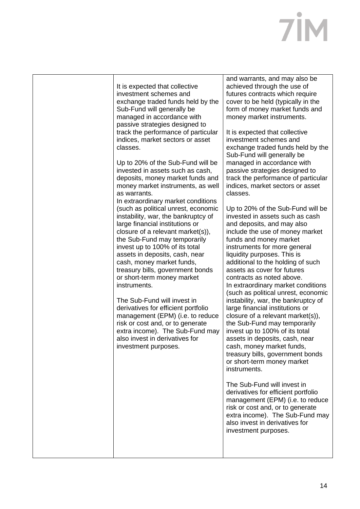| It is expected that collective<br>investment schemes and<br>exchange traded funds held by the<br>Sub-Fund will generally be<br>managed in accordance with<br>passive strategies designed to<br>track the performance of particular<br>indices, market sectors or asset<br>classes.<br>Up to 20% of the Sub-Fund will be<br>invested in assets such as cash,<br>deposits, money market funds and<br>money market instruments, as well<br>as warrants.<br>In extraordinary market conditions<br>(such as political unrest, economic<br>instability, war, the bankruptcy of<br>large financial institutions or<br>closure of a relevant market(s)),<br>the Sub-Fund may temporarily<br>invest up to 100% of its total<br>assets in deposits, cash, near<br>cash, money market funds,<br>treasury bills, government bonds<br>or short-term money market<br>instruments.<br>The Sub-Fund will invest in<br>derivatives for efficient portfolio<br>management (EPM) (i.e. to reduce<br>risk or cost and, or to generate<br>extra income). The Sub-Fund may<br>also invest in derivatives for<br>investment purposes. | and warrants, and may also be<br>achieved through the use of<br>futures contracts which require<br>cover to be held (typically in the<br>form of money market funds and<br>money market instruments.<br>It is expected that collective<br>investment schemes and<br>exchange traded funds held by the<br>Sub-Fund will generally be<br>managed in accordance with<br>passive strategies designed to<br>track the performance of particular<br>indices, market sectors or asset<br>classes.<br>Up to 20% of the Sub-Fund will be<br>invested in assets such as cash<br>and deposits, and may also<br>include the use of money market<br>funds and money market<br>instruments for more general<br>liquidity purposes. This is<br>additional to the holding of such<br>assets as cover for futures<br>contracts as noted above.<br>In extraordinary market conditions<br>(such as political unrest, economic<br>instability, war, the bankruptcy of<br>large financial institutions or<br>closure of a relevant market(s)),<br>the Sub-Fund may temporarily<br>invest up to 100% of its total<br>assets in deposits, cash, near<br>cash, money market funds,<br>treasury bills, government bonds<br>or short-term money market<br>instruments.<br>The Sub-Fund will invest in<br>derivatives for efficient portfolio<br>management (EPM) (i.e. to reduce<br>risk or cost and, or to generate<br>extra income). The Sub-Fund may<br>also invest in derivatives for<br>investment purposes. |
|----------------------------------------------------------------------------------------------------------------------------------------------------------------------------------------------------------------------------------------------------------------------------------------------------------------------------------------------------------------------------------------------------------------------------------------------------------------------------------------------------------------------------------------------------------------------------------------------------------------------------------------------------------------------------------------------------------------------------------------------------------------------------------------------------------------------------------------------------------------------------------------------------------------------------------------------------------------------------------------------------------------------------------------------------------------------------------------------------------------|-----------------------------------------------------------------------------------------------------------------------------------------------------------------------------------------------------------------------------------------------------------------------------------------------------------------------------------------------------------------------------------------------------------------------------------------------------------------------------------------------------------------------------------------------------------------------------------------------------------------------------------------------------------------------------------------------------------------------------------------------------------------------------------------------------------------------------------------------------------------------------------------------------------------------------------------------------------------------------------------------------------------------------------------------------------------------------------------------------------------------------------------------------------------------------------------------------------------------------------------------------------------------------------------------------------------------------------------------------------------------------------------------------------------------------------------------------------------------------------------|
|                                                                                                                                                                                                                                                                                                                                                                                                                                                                                                                                                                                                                                                                                                                                                                                                                                                                                                                                                                                                                                                                                                                |                                                                                                                                                                                                                                                                                                                                                                                                                                                                                                                                                                                                                                                                                                                                                                                                                                                                                                                                                                                                                                                                                                                                                                                                                                                                                                                                                                                                                                                                                         |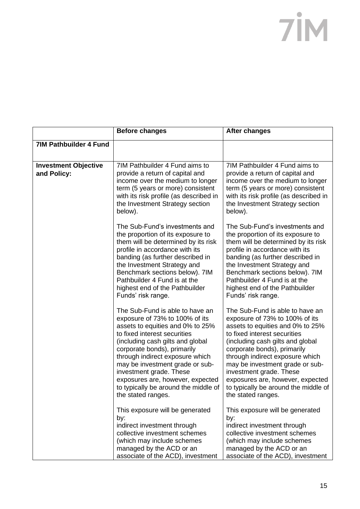|                                            | <b>Before changes</b>                                                                                                                                                                                                                                                                                                                                                                                       | <b>After changes</b>                                                                                                                                                                                                                                                                                                                                                                                        |
|--------------------------------------------|-------------------------------------------------------------------------------------------------------------------------------------------------------------------------------------------------------------------------------------------------------------------------------------------------------------------------------------------------------------------------------------------------------------|-------------------------------------------------------------------------------------------------------------------------------------------------------------------------------------------------------------------------------------------------------------------------------------------------------------------------------------------------------------------------------------------------------------|
| <b>7IM Pathbuilder 4 Fund</b>              |                                                                                                                                                                                                                                                                                                                                                                                                             |                                                                                                                                                                                                                                                                                                                                                                                                             |
| <b>Investment Objective</b><br>and Policy: | 7IM Pathbuilder 4 Fund aims to<br>provide a return of capital and<br>income over the medium to longer<br>term (5 years or more) consistent<br>with its risk profile (as described in<br>the Investment Strategy section<br>below).                                                                                                                                                                          | 7IM Pathbuilder 4 Fund aims to<br>provide a return of capital and<br>income over the medium to longer<br>term (5 years or more) consistent<br>with its risk profile (as described in<br>the Investment Strategy section<br>below).                                                                                                                                                                          |
|                                            | The Sub-Fund's investments and<br>the proportion of its exposure to<br>them will be determined by its risk<br>profile in accordance with its<br>banding (as further described in<br>the Investment Strategy and<br>Benchmark sections below). 7IM<br>Pathbuilder 4 Fund is at the<br>highest end of the Pathbuilder<br>Funds' risk range.                                                                   | The Sub-Fund's investments and<br>the proportion of its exposure to<br>them will be determined by its risk<br>profile in accordance with its<br>banding (as further described in<br>the Investment Strategy and<br>Benchmark sections below). 7IM<br>Pathbuilder 4 Fund is at the<br>highest end of the Pathbuilder<br>Funds' risk range.                                                                   |
|                                            | The Sub-Fund is able to have an<br>exposure of 73% to 100% of its<br>assets to equities and 0% to 25%<br>to fixed interest securities<br>(including cash gilts and global<br>corporate bonds), primarily<br>through indirect exposure which<br>may be investment grade or sub-<br>investment grade. These<br>exposures are, however, expected<br>to typically be around the middle of<br>the stated ranges. | The Sub-Fund is able to have an<br>exposure of 73% to 100% of its<br>assets to equities and 0% to 25%<br>to fixed interest securities<br>(including cash gilts and global<br>corporate bonds), primarily<br>through indirect exposure which<br>may be investment grade or sub-<br>investment grade. These<br>exposures are, however, expected<br>to typically be around the middle of<br>the stated ranges. |
|                                            | This exposure will be generated<br>by:<br>indirect investment through<br>collective investment schemes<br>(which may include schemes<br>managed by the ACD or an<br>associate of the ACD), investment                                                                                                                                                                                                       | This exposure will be generated<br>by:<br>indirect investment through<br>collective investment schemes<br>(which may include schemes<br>managed by the ACD or an<br>associate of the ACD), investment                                                                                                                                                                                                       |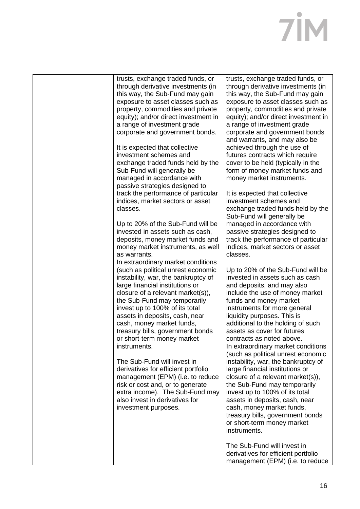| trusts, exchange traded funds, or<br>through derivative investments (in<br>this way, the Sub-Fund may gain<br>exposure to asset classes such as<br>property, commodities and private<br>equity); and/or direct investment in<br>a range of investment grade<br>corporate and government bonds.<br>It is expected that collective<br>investment schemes and<br>exchange traded funds held by the<br>Sub-Fund will generally be<br>managed in accordance with | trusts, exchange traded funds, or<br>through derivative investments (in<br>this way, the Sub-Fund may gain<br>exposure to asset classes such as<br>property, commodities and private<br>equity); and/or direct investment in<br>a range of investment grade<br>corporate and government bonds<br>and warrants, and may also be<br>achieved through the use of<br>futures contracts which require<br>cover to be held (typically in the<br>form of money market funds and<br>money market instruments. |
|-------------------------------------------------------------------------------------------------------------------------------------------------------------------------------------------------------------------------------------------------------------------------------------------------------------------------------------------------------------------------------------------------------------------------------------------------------------|-------------------------------------------------------------------------------------------------------------------------------------------------------------------------------------------------------------------------------------------------------------------------------------------------------------------------------------------------------------------------------------------------------------------------------------------------------------------------------------------------------|
| passive strategies designed to<br>track the performance of particular<br>indices, market sectors or asset<br>classes.                                                                                                                                                                                                                                                                                                                                       | It is expected that collective<br>investment schemes and<br>exchange traded funds held by the<br>Sub-Fund will generally be                                                                                                                                                                                                                                                                                                                                                                           |
| Up to 20% of the Sub-Fund will be<br>invested in assets such as cash,<br>deposits, money market funds and<br>money market instruments, as well<br>as warrants.                                                                                                                                                                                                                                                                                              | managed in accordance with<br>passive strategies designed to<br>track the performance of particular<br>indices, market sectors or asset<br>classes.                                                                                                                                                                                                                                                                                                                                                   |
| In extraordinary market conditions<br>(such as political unrest economic<br>instability, war, the bankruptcy of<br>large financial institutions or<br>closure of a relevant market(s)),<br>the Sub-Fund may temporarily<br>invest up to 100% of its total<br>assets in deposits, cash, near<br>cash, money market funds,<br>treasury bills, government bonds<br>or short-term money market<br>instruments.                                                  | Up to 20% of the Sub-Fund will be<br>invested in assets such as cash<br>and deposits, and may also<br>include the use of money market<br>funds and money market<br>instruments for more general<br>liquidity purposes. This is<br>additional to the holding of such<br>assets as cover for futures<br>contracts as noted above.<br>In extraordinary market conditions                                                                                                                                 |
| The Sub-Fund will invest in<br>derivatives for efficient portfolio<br>management (EPM) (i.e. to reduce<br>risk or cost and, or to generate<br>extra income). The Sub-Fund may<br>also invest in derivatives for<br>investment purposes.                                                                                                                                                                                                                     | (such as political unrest economic<br>instability, war, the bankruptcy of<br>large financial institutions or<br>closure of a relevant market(s)),<br>the Sub-Fund may temporarily<br>invest up to 100% of its total<br>assets in deposits, cash, near<br>cash, money market funds,<br>treasury bills, government bonds<br>or short-term money market<br>instruments.                                                                                                                                  |
|                                                                                                                                                                                                                                                                                                                                                                                                                                                             | The Sub-Fund will invest in<br>derivatives for efficient portfolio<br>management (EPM) (i.e. to reduce                                                                                                                                                                                                                                                                                                                                                                                                |